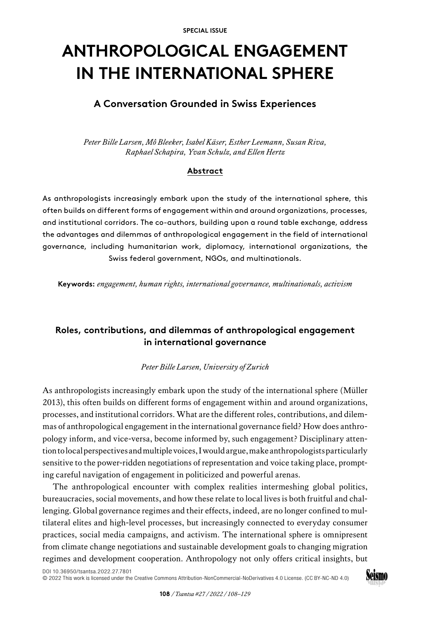# **ANTHROPOLOGICAL ENGAGEMENT IN THE INTERNATIONAL SPHERE**

# **A Conversation Grounded in Swiss Experiences**

*Peter Bille Larsen, Mô Bleeker, Isabel Käser, Esther Leemann, Susan Riva, Raphael Schapira, Yvan Schulz, and Ellen Hertz*

# **Abstract**

As anthropologists increasingly embark upon the study of the international sphere, this often builds on different forms of engagement within and around organizations, processes, and institutional corridors. The co-authors, building upon a round table exchange, address the advantages and dilemmas of anthropological engagement in the field of international governance, including humanitarian work, diplomacy, international organizations, the Swiss federal government, NGOs, and multinationals.

**Keywords:** *engagement, human rights, international governance, multinationals, activism*

# **Roles, contributions, and dilemmas of anthropological engagement in international governance**

*Peter Bille Larsen, University of Zurich*

As anthropologists increasingly embark upon the study of the international sphere (Müller 2013), this often builds on different forms of engagement within and around organizations, processes, and institutional corridors. What are the different roles, contributions, and dilemmas of anthropological engagement in the international governance field? How does anthropology inform, and vice-versa, become informed by, such engagement? Disciplinary attention to local perspectives and multiple voices, I would argue, make anthropologists particularly sensitive to the power-ridden negotiations of representation and voice taking place, prompting careful navigation of engagement in politicized and powerful arenas.

The anthropological encounter with complex realities intermeshing global politics, bureaucracies, social movements, and how these relate to local lives is both fruitful and challenging. Global governance regimes and their effects, indeed, are no longer confined to multilateral elites and high-level processes, but increasingly connected to everyday consumer practices, social media campaigns, and activism. The international sphere is omnipresent from climate change negotiations and sustainable development goals to changing migration regimes and development cooperation. Anthropology not only offers critical insights, but

[© 2022 This work is licensed under the Creative Commons Attribution-NonCommercial-NoDerivatives 4.0 License. \(CC BY-NC-ND 4.0\)](https://creativecommons.org/licenses/by-nc-nd/4.0/deed.en)

[DOI 10.36950/tsantsa.2022.27.7801](https://doi.org/10.36950/tsantsa.2022.27.7801)

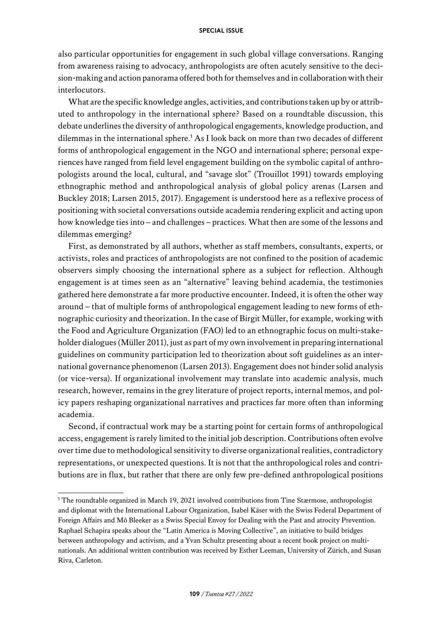also particular opportunities for engagement in such global village conversations. Ranging from awareness raising to advocacy, anthropologists are often acutely sensitive to the decision-making and action panorama offered both for themselves and in collaboration with their interlocutors.

What are the specific knowledge angles, activities, and contributions taken up by or attributed to anthropology in the international sphere? Based on a roundtable discussion, this debate underlines the diversity of anthropological engagements, knowledge production, and dilemmas in the international sphere.<sup>1</sup> As I look back on more than two decades of different forms of anthropological engagement in the NGO and international sphere; personal experiences have ranged from field level engagement building on the symbolic capital of anthropologists around the local, cultural, and "savage slot" (Trouillot 1991) towards employing ethnographic method and anthropological analysis of global policy arenas (Larsen and Buckley 2018; Larsen 2015, 2017). Engagement is understood here as a reflexive process of positioning with societal conversations outside academia rendering explicit and acting upon how knowledge ties into – and challenges – practices. What then are some of the lessons and dilemmas emerging?

First, as demonstrated by all authors, whether as staff members, consultants, experts, or activists, roles and practices of anthropologists are not confined to the position of academic observers simply choosing the international sphere as a subject for reflection. Although engagement is at times seen as an "alternative" leaving behind academia, the testimonies gathered here demonstrate a far more productive encounter. Indeed, it is often the other way around – that of multiple forms of anthropological engagement leading to new forms of ethnographic curiosity and theorization. In the case of Birgit Müller, for example, working with the Food and Agriculture Organization (FAO) led to an ethnographic focus on multi-stakeholder dialogues (Müller 2011), just as part of my own involvement in preparing international guidelines on community participation led to theorization about soft guidelines as an international governance phenomenon (Larsen 2013). Engagement does not hinder solid analysis (or vice-versa). If organizational involvement may translate into academic analysis, much research, however, remains in the grey literature of project reports, internal memos, and policy papers reshaping organizational narratives and practices far more often than informing academia.

Second, if contractual work may be a starting point for certain forms of anthropological access, engagement is rarely limited to the initial job description. Contributions often evolve over time due to methodological sensitivity to diverse organizational realities, contradictory representations, or unexpected questions. It is not that the anthropological roles and contributions are in flux, but rather that there are only few pre-defined anthropological positions

<sup>1</sup> The roundtable organized in March 19, 2021 involved contributions from Tine Stærmose, anthropologist and diplomat with the International Labour Organization, Isabel Käser with the Swiss Federal Department of Foreign Affairs and Mô Bleeker as a Swiss Special Envoy for Dealing with the Past and atrocity Prevention. Raphael Schapira speaks about the "Latin America is Moving Collective", an initiative to build bridges between anthropology and activism, and a Yvan Schultz presenting about a recent book project on multinationals. An additional written contribution was received by Esther Leeman, University of Zürich, and Susan Riva, Carleton.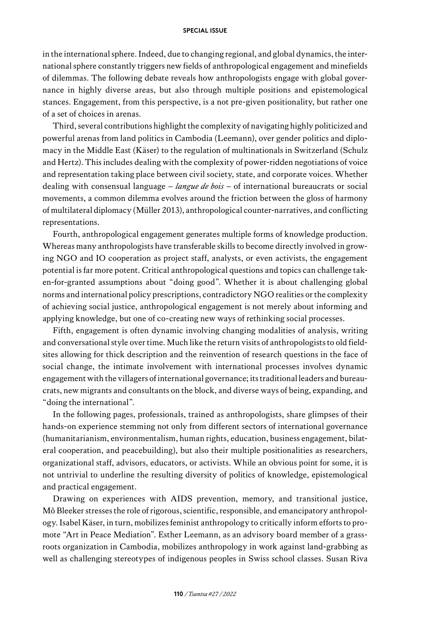in the international sphere. Indeed, due to changing regional, and global dynamics, the international sphere constantly triggers new fields of anthropological engagement and minefields of dilemmas. The following debate reveals how anthropologists engage with global governance in highly diverse areas, but also through multiple positions and epistemological stances. Engagement, from this perspective, is a not pre-given positionality, but rather one of a set of choices in arenas.

Third, several contributions highlight the complexity of navigating highly politicized and powerful arenas from land politics in Cambodia (Leemann), over gender politics and diplomacy in the Middle East (Käser) to the regulation of multinationals in Switzerland (Schulz and Hertz). This includes dealing with the complexity of power-ridden negotiations of voice and representation taking place between civil society, state, and corporate voices. Whether dealing with consensual language – *langue de bois* – of international bureaucrats or social movements, a common dilemma evolves around the friction between the gloss of harmony of multilateral diplomacy (Müller 2013), anthropological counter-narratives, and conflicting representations.

Fourth, anthropological engagement generates multiple forms of knowledge production. Whereas many anthropologists have transferable skills to become directly involved in growing NGO and IO cooperation as project staff, analysts, or even activists, the engagement potential is far more potent. Critical anthropological questions and topics can challenge taken-for-granted assumptions about "doing good". Whether it is about challenging global norms and international policy prescriptions, contradictory NGO realities or the complexity of achieving social justice, anthropological engagement is not merely about informing and applying knowledge, but one of co-creating new ways of rethinking social processes.

Fifth, engagement is often dynamic involving changing modalities of analysis, writing and conversational style over time. Much like the return visits of anthropologists to old fieldsites allowing for thick description and the reinvention of research questions in the face of social change, the intimate involvement with international processes involves dynamic engagement with the villagers of international governance; its traditional leaders and bureaucrats, new migrants and consultants on the block, and diverse ways of being, expanding, and "doing the international".

In the following pages, professionals, trained as anthropologists, share glimpses of their hands-on experience stemming not only from different sectors of international governance (humanitarianism, environmentalism, human rights, education, business engagement, bilateral cooperation, and peacebuilding), but also their multiple positionalities as researchers, organizational staff, advisors, educators, or activists. While an obvious point for some, it is not untrivial to underline the resulting diversity of politics of knowledge, epistemological and practical engagement.

Drawing on experiences with AIDS prevention, memory, and transitional justice, Mô Bleeker stresses the role of rigorous, scientific, responsible, and emancipatory anthropology. Isabel Käser, in turn, mobilizes feminist anthropology to critically inform efforts to promote "Art in Peace Mediation". Esther Leemann, as an advisory board member of a grassroots organization in Cambodia, mobilizes anthropology in work against land-grabbing as well as challenging stereotypes of indigenous peoples in Swiss school classes. Susan Riva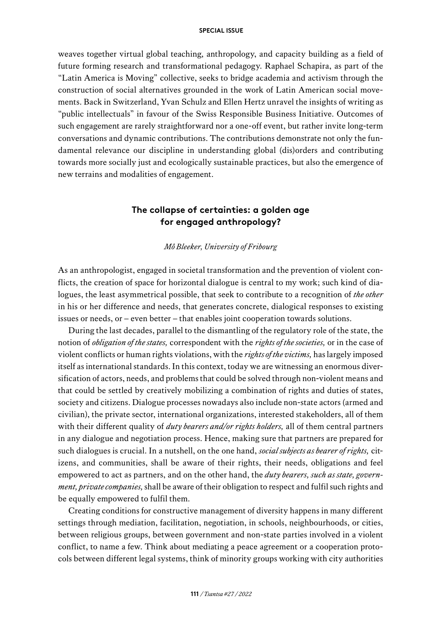weaves together virtual global teaching, anthropology, and capacity building as a field of future forming research and transformational pedagogy. Raphael Schapira, as part of the "Latin America is Moving" collective, seeks to bridge academia and activism through the construction of social alternatives grounded in the work of Latin American social movements. Back in Switzerland, Yvan Schulz and Ellen Hertz unravel the insights of writing as "public intellectuals" in favour of the Swiss Responsible Business Initiative. Outcomes of such engagement are rarely straightforward nor a one-off event, but rather invite long-term conversations and dynamic contributions. The contributions demonstrate not only the fundamental relevance our discipline in understanding global (dis)orders and contributing towards more socially just and ecologically sustainable practices, but also the emergence of new terrains and modalities of engagement.

# **The collapse of certainties: a golden age for engaged anthropology?**

## *Mô Bleeker, University of Fribourg*

As an anthropologist, engaged in societal transformation and the prevention of violent conflicts, the creation of space for horizontal dialogue is central to my work; such kind of dialogues, the least asymmetrical possible, that seek to contribute to a recognition of *the other* in his or her difference and needs, that generates concrete, dialogical responses to existing issues or needs, or – even better – that enables joint cooperation towards solutions.

During the last decades, parallel to the dismantling of the regulatory role of the state, the notion of *obligation of the states,* correspondent with the *rights of the societies,* or in the case of violent conflicts or human rights violations, with the *rights of the victims,* has largely imposed itself as international standards. In this context, today we are witnessing an enormous diversification of actors, needs, and problems that could be solved through non-violent means and that could be settled by creatively mobilizing a combination of rights and duties of states, society and citizens. Dialogue processes nowadays also include non-state actors (armed and civilian), the private sector, international organizations, interested stakeholders, all of them with their different quality of *duty bearers and/or rights holders,* all of them central partners in any dialogue and negotiation process. Hence, making sure that partners are prepared for such dialogues is crucial. In a nutshell, on the one hand, *social subjects as bearer of rights,* citizens, and communities, shall be aware of their rights, their needs, obligations and feel empowered to act as partners, and on the other hand, the *duty bearers, such as state, government, private companies,* shall be aware of their obligation to respect and fulfil such rights and be equally empowered to fulfil them.

Creating conditions for constructive management of diversity happens in many different settings through mediation, facilitation, negotiation, in schools, neighbourhoods, or cities, between religious groups, between government and non-state parties involved in a violent conflict, to name a few. Think about mediating a peace agreement or a cooperation protocols between different legal systems, think of minority groups working with city authorities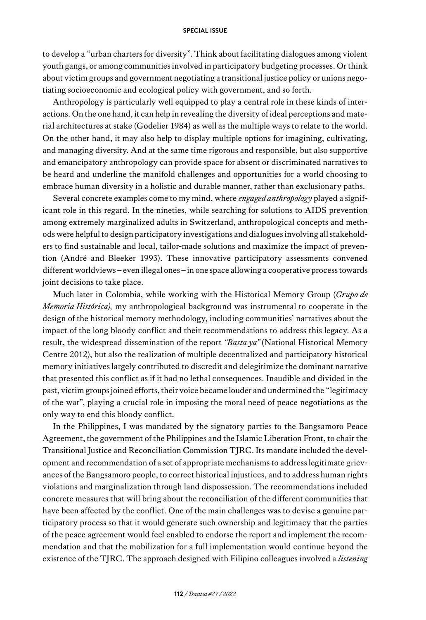to develop a "urban charters for diversity". Think about facilitating dialogues among violent youth gangs, or among communities involved in participatory budgeting processes. Or think about victim groups and government negotiating a transitional justice policy or unions negotiating socioeconomic and ecological policy with government, and so forth.

Anthropology is particularly well equipped to play a central role in these kinds of interactions. On the one hand, it can help in revealing the diversity of ideal perceptions and material architectures at stake (Godelier 1984) as well as the multiple ways to relate to the world. On the other hand, it may also help to display multiple options for imagining, cultivating, and managing diversity. And at the same time rigorous and responsible, but also supportive and emancipatory anthropology can provide space for absent or discriminated narratives to be heard and underline the manifold challenges and opportunities for a world choosing to embrace human diversity in a holistic and durable manner, rather than exclusionary paths.

Several concrete examples come to my mind, where *engaged anthropology* played a significant role in this regard. In the nineties, while searching for solutions to AIDS prevention among extremely marginalized adults in Switzerland, anthropological concepts and methods were helpful to design participatory investigations and dialogues involving all stakeholders to find sustainable and local, tailor-made solutions and maximize the impact of prevention (André and Bleeker 1993). These innovative participatory assessments convened different worldviews – even illegal ones – in one space allowing a cooperative process towards joint decisions to take place.

Much later in Colombia, while working with the Historical Memory Group (*Grupo de Memoria Histórica),* my anthropological background was instrumental to cooperate in the design of the historical memory methodology, including communities' narratives about the impact of the long bloody conflict and their recommendations to address this legacy. As a result, the widespread dissemination of the report *"Basta ya"* (National Historical Memory Centre 2012), but also the realization of multiple decentralized and participatory historical memory initiatives largely contributed to discredit and delegitimize the dominant narrative that presented this conflict as if it had no lethal consequences. Inaudible and divided in the past, victim groups joined efforts, their voice became louder and undermined the "legitimacy of the war", playing a crucial role in imposing the moral need of peace negotiations as the only way to end this bloody conflict.

In the Philippines, I was mandated by the signatory parties to the Bangsamoro Peace Agreement, the government of the Philippines and the Islamic Liberation Front, to chair the Transitional Justice and Reconciliation Commission TJRC. Its mandate included the development and recommendation of a set of appropriate mechanisms to address legitimate grievances of the Bangsamoro people, to correct historical injustices, and to address human rights violations and marginalization through land dispossession. The recommendations included concrete measures that will bring about the reconciliation of the different communities that have been affected by the conflict. One of the main challenges was to devise a genuine participatory process so that it would generate such ownership and legitimacy that the parties of the peace agreement would feel enabled to endorse the report and implement the recommendation and that the mobilization for a full implementation would continue beyond the existence of the TJRC. The approach designed with Filipino colleagues involved a *listening*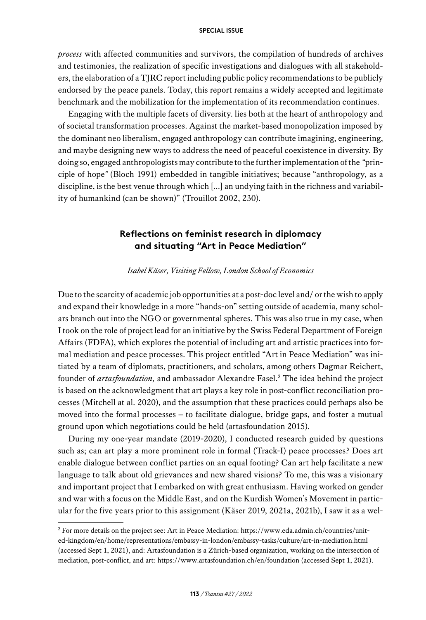*process* with affected communities and survivors, the compilation of hundreds of archives and testimonies, the realization of specific investigations and dialogues with all stakeholders, the elaboration of a TJRC report including public policy recommendations to be publicly endorsed by the peace panels. Today, this report remains a widely accepted and legitimate benchmark and the mobilization for the implementation of its recommendation continues.

Engaging with the multiple facets of diversity. lies both at the heart of anthropology and of societal transformation processes. Against the market-based monopolization imposed by the dominant neo liberalism, engaged anthropology can contribute imagining, engineering, and maybe designing new ways to address the need of peaceful coexistence in diversity. By doing so, engaged anthropologists may contribute to the further implementation of the *"*principle of hope*"* (Bloch 1991) embedded in tangible initiatives; because "anthropology, as a discipline, is the best venue through which […] an undying faith in the richness and variability of humankind (can be shown)" (Trouillot 2002, 230).

# **Reflections on feminist research in diplomacy and situating "Art in Peace Mediation"**

## *Isabel Käser, Visiting Fellow, London School of Economics*

Due to the scarcity of academic job opportunities at a post-doc level and/ or the wish to apply and expand their knowledge in a more "hands-on" setting outside of academia, many scholars branch out into the NGO or governmental spheres. This was also true in my case, when I took on the role of project lead for an initiative by the Swiss Federal Department of Foreign Affairs (FDFA), which explores the potential of including art and artistic practices into formal mediation and peace processes. This project entitled "Art in Peace Mediation" was initiated by a team of diplomats, practitioners, and scholars, among others Dagmar Reichert, founder of *artasfoundation,* and ambassador Alexandre Fasel.<sup>2</sup> The idea behind the project is based on the acknowledgment that art plays a key role in post-conflict reconciliation processes (Mitchell at al. 2020), and the assumption that these practices could perhaps also be moved into the formal processes – to facilitate dialogue, bridge gaps, and foster a mutual ground upon which negotiations could be held (artasfoundation 2015).

During my one-year mandate (2019-2020), I conducted research guided by questions such as; can art play a more prominent role in formal (Track-I) peace processes? Does art enable dialogue between conflict parties on an equal footing? Can art help facilitate a new language to talk about old grievances and new shared visions? To me, this was a visionary and important project that I embarked on with great enthusiasm. Having worked on gender and war with a focus on the Middle East, and on the Kurdish Women's Movement in particular for the five years prior to this assignment (Käser 2019, 2021a, 2021b), I saw it as a wel-

<sup>2</sup> For more details on the project see: Art in Peace Mediation: [https://www.eda.admin.ch/countries/unit](https://www.eda.admin.ch/countries/united-kingdom/en/home/representations/embassy-in-london/embassy-tasks/culture/art-in-mediation.html)[ed-kingdom/en/home/representations/embassy-in-london/embassy-tasks/culture/art-in-mediation.html](https://www.eda.admin.ch/countries/united-kingdom/en/home/representations/embassy-in-london/embassy-tasks/culture/art-in-mediation.html) (accessed Sept 1, 2021), and: Artasfoundation is a Zürich-based organization, working on the intersection of mediation, post-conflict, and art:<https://www.artasfoundation.ch/en/foundation> (accessed Sept 1, 2021).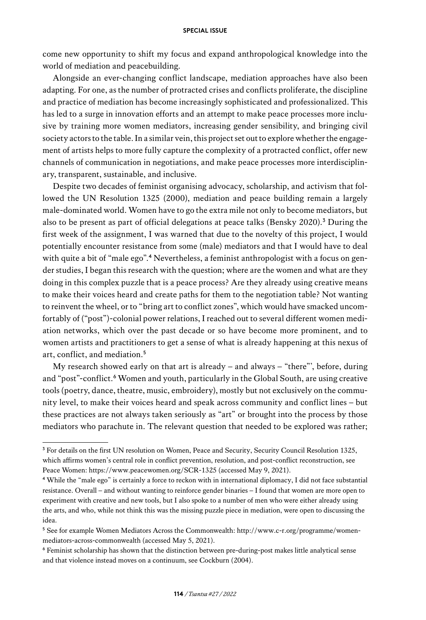come new opportunity to shift my focus and expand anthropological knowledge into the world of mediation and peacebuilding.

Alongside an ever-changing conflict landscape, mediation approaches have also been adapting. For one, as the number of protracted crises and conflicts proliferate, the discipline and practice of mediation has become increasingly sophisticated and professionalized. This has led to a surge in innovation efforts and an attempt to make peace processes more inclusive by training more women mediators, increasing gender sensibility, and bringing civil society actors to the table. In a similar vein, this project set out to explore whether the engagement of artists helps to more fully capture the complexity of a protracted conflict, offer new channels of communication in negotiations, and make peace processes more interdisciplinary, transparent, sustainable, and inclusive.

Despite two decades of feminist organising advocacy, scholarship, and activism that followed the UN Resolution 1325 (2000), mediation and peace building remain a largely male-dominated world. Women have to go the extra mile not only to become mediators, but also to be present as part of official delegations at peace talks (Bensky 2020).<sup>3</sup> During the first week of the assignment, I was warned that due to the novelty of this project, I would potentially encounter resistance from some (male) mediators and that I would have to deal with quite a bit of "male ego".<sup>4</sup> Nevertheless, a feminist anthropologist with a focus on gender studies, I began this research with the question; where are the women and what are they doing in this complex puzzle that is a peace process? Are they already using creative means to make their voices heard and create paths for them to the negotiation table? Not wanting to reinvent the wheel, or to "bring art to conflict zones", which would have smacked uncomfortably of ("post")-colonial power relations, I reached out to several different women mediation networks, which over the past decade or so have become more prominent, and to women artists and practitioners to get a sense of what is already happening at this nexus of art, conflict, and mediation.<sup>5</sup>

My research showed early on that art is already – and always – "there"', before, during and "post"-conflict.<sup>6</sup> Women and youth, particularly in the Global South, are using creative tools (poetry, dance, theatre, music, embroidery), mostly but not exclusively on the community level, to make their voices heard and speak across community and conflict lines – but these practices are not always taken seriously as "art" or brought into the process by those mediators who parachute in. The relevant question that needed to be explored was rather;

<sup>&</sup>lt;sup>3</sup> For details on the first UN resolution on Women, Peace and Security, Security Council Resolution 1325, which affirms women's central role in conflict prevention, resolution, and post-conflict reconstruction, see Peace Women: [https://www.peacewomen.org/SCR-132](https://www.peacewomen.org/SCR-1325)5 (accessed May 9, 2021).

<sup>4</sup> While the "male ego" is certainly a force to reckon with in international diplomacy, I did not face substantial resistance. Overall – and without wanting to reinforce gender binaries – I found that women are more open to experiment with creative and new tools, but I also spoke to a number of men who were either already using the arts, and who, while not think this was the missing puzzle piece in mediation, were open to discussing the idea.

<sup>5</sup> See for example Women Mediators Across the Commonwealth: [http://www.c-r.org/programme/women-](http://www.c-r.org/programme/women-mediators-across-commonwealth)[mediators-across-commonwealth](http://www.c-r.org/programme/women-mediators-across-commonwealth) (accessed May 5, 2021).

<sup>6</sup> Feminist scholarship has shown that the distinction between pre-during-post makes little analytical sense and that violence instead moves on a continuum, see Cockburn (2004).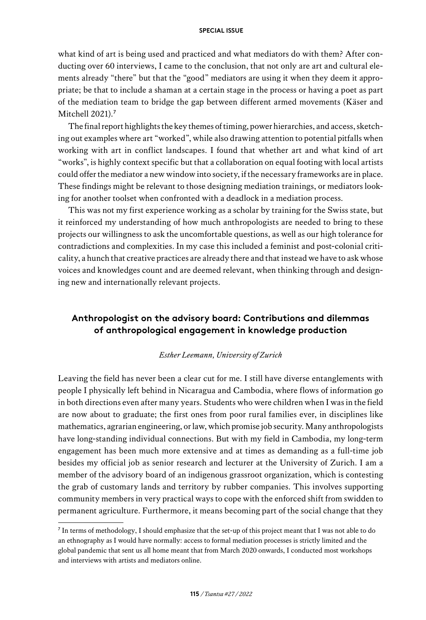what kind of art is being used and practiced and what mediators do with them? After conducting over 60 interviews, I came to the conclusion, that not only are art and cultural elements already "there" but that the "good" mediators are using it when they deem it appropriate; be that to include a shaman at a certain stage in the process or having a poet as part of the mediation team to bridge the gap between different armed movements (Käser and Mitchell 2021).<sup>7</sup>

The final report highlights the key themes of timing, power hierarchies, and access, sketching out examples where art "worked", while also drawing attention to potential pitfalls when working with art in conflict landscapes. I found that whether art and what kind of art "works", is highly context specific but that a collaboration on equal footing with local artists could offer the mediator a new window into society, if the necessary frameworks are in place. These findings might be relevant to those designing mediation trainings, or mediators looking for another toolset when confronted with a deadlock in a mediation process.

This was not my first experience working as a scholar by training for the Swiss state, but it reinforced my understanding of how much anthropologists are needed to bring to these projects our willingness to ask the uncomfortable questions, as well as our high tolerance for contradictions and complexities. In my case this included a feminist and post-colonial criticality, a hunch that creative practices are already there and that instead we have to ask whose voices and knowledges count and are deemed relevant, when thinking through and designing new and internationally relevant projects.

# **Anthropologist on the advisory board: Contributions and dilemmas of anthropological engagement in knowledge production**

## *Esther Leemann, University of Zurich*

Leaving the field has never been a clear cut for me. I still have diverse entanglements with people I physically left behind in Nicaragua and Cambodia, where flows of information go in both directions even after many years. Students who were children when I was in the field are now about to graduate; the first ones from poor rural families ever, in disciplines like mathematics, agrarian engineering, or law, which promise job security. Many anthropologists have long-standing individual connections. But with my field in Cambodia, my long-term engagement has been much more extensive and at times as demanding as a full-time job besides my official job as senior research and lecturer at the University of Zurich. I am a member of the advisory board of an indigenous grassroot organization, which is contesting the grab of customary lands and territory by rubber companies. This involves supporting community members in very practical ways to cope with the enforced shift from swidden to permanent agriculture. Furthermore, it means becoming part of the social change that they

<sup>&</sup>lt;sup>7</sup> In terms of methodology, I should emphasize that the set-up of this project meant that I was not able to do an ethnography as I would have normally: access to formal mediation processes is strictly limited and the global pandemic that sent us all home meant that from March 2020 onwards, I conducted most workshops and interviews with artists and mediators online.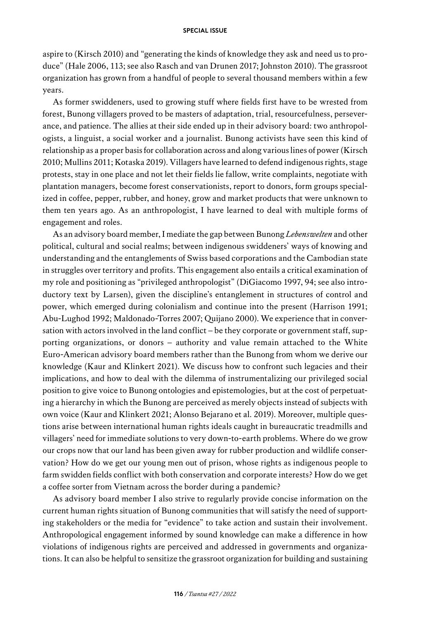aspire to (Kirsch 2010) and "generating the kinds of knowledge they ask and need us to produce" (Hale 2006, 113; see also Rasch and van Drunen 2017; Johnston 2010). The grassroot organization has grown from a handful of people to several thousand members within a few years.

As former swiddeners, used to growing stuff where fields first have to be wrested from forest, Bunong villagers proved to be masters of adaptation, trial, resourcefulness, perseverance, and patience. The allies at their side ended up in their advisory board: two anthropologists, a linguist, a social worker and a journalist. Bunong activists have seen this kind of relationship as a proper basis for collaboration across and along various lines of power (Kirsch 2010; Mullins 2011; Kotaska 2019). Villagers have learned to defend indigenous rights, stage protests, stay in one place and not let their fields lie fallow, write complaints, negotiate with plantation managers, become forest conservationists, report to donors, form groups specialized in coffee, pepper, rubber, and honey, grow and market products that were unknown to them ten years ago. As an anthropologist, I have learned to deal with multiple forms of engagement and roles.

As an advisory board member, I mediate the gap between Bunong *Lebenswelten* and other political, cultural and social realms; between indigenous swiddeners' ways of knowing and understanding and the entanglements of Swiss based corporations and the Cambodian state in struggles over territory and profits. This engagement also entails a critical examination of my role and positioning as "privileged anthropologist" (DiGiacomo 1997, 94; see also introductory text by Larsen), given the discipline's entanglement in structures of control and power, which emerged during colonialism and continue into the present (Harrison 1991; Abu-Lughod 1992; Maldonado-Torres 2007; Quijano 2000). We experience that in conversation with actors involved in the land conflict – be they corporate or government staff, supporting organizations, or donors – authority and value remain attached to the White Euro-American advisory board members rather than the Bunong from whom we derive our knowledge (Kaur and Klinkert 2021). We discuss how to confront such legacies and their implications, and how to deal with the dilemma of instrumentalizing our privileged social position to give voice to Bunong ontologies and epistemologies, but at the cost of perpetuating a hierarchy in which the Bunong are perceived as merely objects instead of subjects with own voice (Kaur and Klinkert 2021; Alonso Bejarano et al. 2019). Moreover, multiple questions arise between international human rights ideals caught in bureaucratic treadmills and villagers' need for immediate solutions to very down-to-earth problems. Where do we grow our crops now that our land has been given away for rubber production and wildlife conservation? How do we get our young men out of prison, whose rights as indigenous people to farm swidden fields conflict with both conservation and corporate interests? How do we get a coffee sorter from Vietnam across the border during a pandemic?

As advisory board member I also strive to regularly provide concise information on the current human rights situation of Bunong communities that will satisfy the need of supporting stakeholders or the media for "evidence" to take action and sustain their involvement. Anthropological engagement informed by sound knowledge can make a difference in how violations of indigenous rights are perceived and addressed in governments and organizations. It can also be helpful to sensitize the grassroot organization for building and sustaining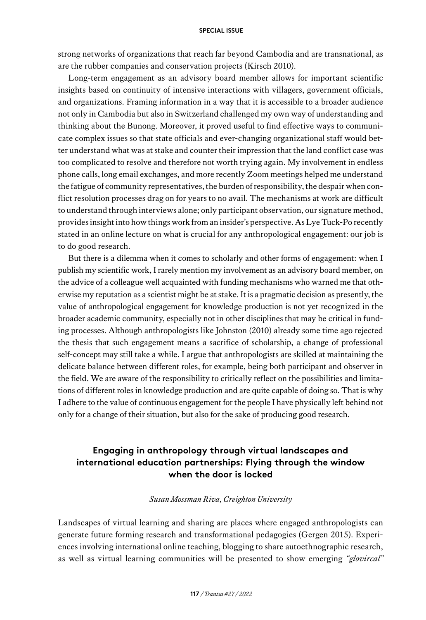strong networks of organizations that reach far beyond Cambodia and are transnational, as are the rubber companies and conservation projects (Kirsch 2010).

Long-term engagement as an advisory board member allows for important scientific insights based on continuity of intensive interactions with villagers, government officials, and organizations. Framing information in a way that it is accessible to a broader audience not only in Cambodia but also in Switzerland challenged my own way of understanding and thinking about the Bunong. Moreover, it proved useful to find effective ways to communicate complex issues so that state officials and ever-changing organizational staff would better understand what was at stake and counter their impression that the land conflict case was too complicated to resolve and therefore not worth trying again. My involvement in endless phone calls, long email exchanges, and more recently Zoom meetings helped me understand the fatigue of community representatives, the burden of responsibility, the despair when conflict resolution processes drag on for years to no avail. The mechanisms at work are difficult to understand through interviews alone; only participant observation, our signature method, provides insight into how things work from an insider's perspective. As Lye Tuck-Po recently stated in an online lecture on what is crucial for any anthropological engagement: our job is to do good research.

But there is a dilemma when it comes to scholarly and other forms of engagement: when I publish my scientific work, I rarely mention my involvement as an advisory board member, on the advice of a colleague well acquainted with funding mechanisms who warned me that otherwise my reputation as a scientist might be at stake. It is a pragmatic decision as presently, the value of anthropological engagement for knowledge production is not yet recognized in the broader academic community, especially not in other disciplines that may be critical in funding processes. Although anthropologists like Johnston (2010) already some time ago rejected the thesis that such engagement means a sacrifice of scholarship, a change of professional self-concept may still take a while. I argue that anthropologists are skilled at maintaining the delicate balance between different roles, for example, being both participant and observer in the field. We are aware of the responsibility to critically reflect on the possibilities and limitations of different roles in knowledge production and are quite capable of doing so. That is why I adhere to the value of continuous engagement for the people I have physically left behind not only for a change of their situation, but also for the sake of producing good research.

# **Engaging in anthropology through virtual landscapes and international education partnerships: Flying through the window when the door is locked**

## *Susan Mossman Riva, Creighton University*

Landscapes of virtual learning and sharing are places where engaged anthropologists can generate future forming research and transformational pedagogies (Gergen 2015). Experiences involving international online teaching, blogging to share autoethnographic research, as well as virtual learning communities will be presented to show emerging *"glovircal"*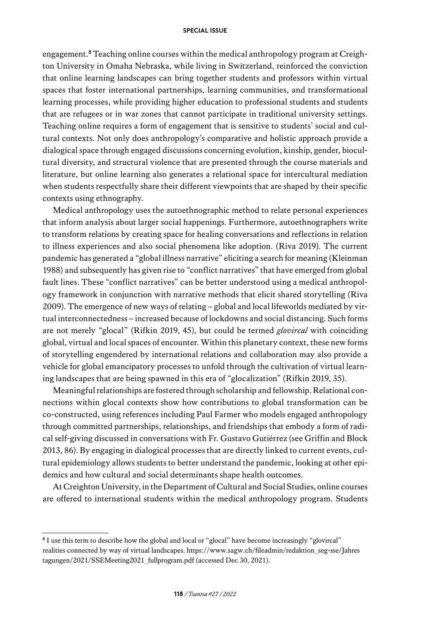engagement.<sup>8</sup> Teaching online courses within the medical anthropology program at Creighton University in Omaha Nebraska, while living in Switzerland, reinforced the conviction that online learning landscapes can bring together students and professors within virtual spaces that foster international partnerships, learning communities, and transformational learning processes, while providing higher education to professional students and students that are refugees or in war zones that cannot participate in traditional university settings. Teaching online requires a form of engagement that is sensitive to students' social and cultural contexts. Not only does anthropology's comparative and holistic approach provide a dialogical space through engaged discussions concerning evolution, kinship, gender, biocultural diversity, and structural violence that are presented through the course materials and literature, but online learning also generates a relational space for intercultural mediation when students respectfully share their different viewpoints that are shaped by their specific contexts using ethnography.

Medical anthropology uses the autoethnographic method to relate personal experiences that inform analysis about larger social happenings. Furthermore, autoethnographers write to transform relations by creating space for healing conversations and reflections in relation to illness experiences and also social phenomena like adoption. (Riva 2019). The current pandemic has generated a "global illness narrative" eliciting a search for meaning (Kleinman 1988) and subsequently has given rise to "conflict narratives" that have emerged from global fault lines. These "conflict narratives" can be better understood using a medical anthropology framework in conjunction with narrative methods that elicit shared storytelling (Riva 2009). The emergence of new ways of relating – global and local lifeworlds mediated by virtual interconnectedness – increased because of lockdowns and social distancing. Such forms are not merely "glocal" (Rifkin 2019, 45), but could be termed *glovircal* with coinciding global, virtual and local spaces of encounter. Within this planetary context, these new forms of storytelling engendered by international relations and collaboration may also provide a vehicle for global emancipatory processes to unfold through the cultivation of virtual learning landscapes that are being spawned in this era of "glocalization" (Rifkin 2019, 35).

Meaningful relationships are fostered through scholarship and fellowship. Relational connections within glocal contexts show how contributions to global transformation can be co-constructed, using references including Paul Farmer who models engaged anthropology through committed partnerships, relationships, and friendships that embody a form of radical self-giving discussed in conversations with Fr. Gustavo Gutiérrez (see Griffin and Block 2013, 86). By engaging in dialogical processes that are directly linked to current events, cultural epidemiology allows students to better understand the pandemic, looking at other epidemics and how cultural and social determinants shape health outcomes.

At Creighton University, in the Department of Cultural and Social Studies, online courses are offered to international students within the medical anthropology program. Students

<sup>8</sup> I use this term to describe how the global and local or "glocal" have become increasingly "glovircal" realities connected by way of virtual landscapes. [https://www.sagw.ch/fileadmin/redaktion\\_seg-sse/Jahres](https://www.sagw.ch/fileadmin/redaktion_seg-sse/Jahrestagungen/2021/SSEMeeting2021_fullprogram.pdf)  [tagungen/2021/SSEMeeting2021\\_fullprogram.pd](https://www.sagw.ch/fileadmin/redaktion_seg-sse/Jahrestagungen/2021/SSEMeeting2021_fullprogram.pdf)f (accessed Dec 30, 2021).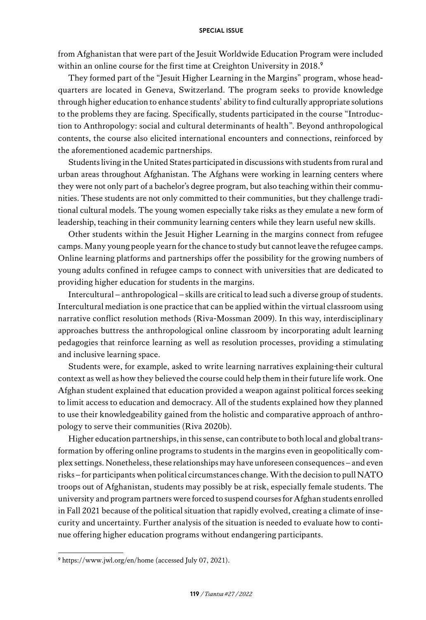from Afghanistan that were part of the Jesuit Worldwide Education Program were included within an online course for the first time at Creighton University in 2018.<sup>9</sup>

They formed part of the "Jesuit Higher Learning in the Margins" program, whose headquarters are located in Geneva, Switzerland. The program seeks to provide knowledge through higher education to enhance students' ability to find culturally appropriate solutions to the problems they are facing. Specifically, students participated in the course "Introduction to Anthropology: social and cultural determinants of health". Beyond anthropological contents, the course also elicited international encounters and connections, reinforced by the aforementioned academic partnerships.

Students living in the United States participated in discussions with students from rural and urban areas throughout Afghanistan. The Afghans were working in learning centers where they were not only part of a bachelor's degree program, but also teaching within their communities. These students are not only committed to their communities, but they challenge traditional cultural models. The young women especially take risks as they emulate a new form of leadership, teaching in their community learning centers while they learn useful new skills.

Other students within the Jesuit Higher Learning in the margins connect from refugee camps. Many young people yearn for the chance to study but cannot leave the refugee camps. Online learning platforms and partnerships offer the possibility for the growing numbers of young adults confined in refugee camps to connect with universities that are dedicated to providing higher education for students in the margins.

Intercultural – anthropological – skills are critical to lead such a diverse group of students. Intercultural mediation is one practice that can be applied within the virtual classroom using narrative conflict resolution methods (Riva-Mossman 2009). In this way, interdisciplinary approaches buttress the anthropological online classroom by incorporating adult learning pedagogies that reinforce learning as well as resolution processes, providing a stimulating and inclusive learning space.

Students were, for example, asked to write learning narratives explaining their cultural context as well as how they believed the course could help them in their future life work. One Afghan student explained that education provided a weapon against political forces seeking to limit access to education and democracy. All of the students explained how they planned to use their knowledgeability gained from the holistic and comparative approach of anthropology to serve their communities (Riva 2020b).

Higher education partnerships, in this sense, can contribute to both local and global transformation by offering online programs to students in the margins even in geopolitically complex settings. Nonetheless, these relationships may have unforeseen consequences – and even risks – for participants when political circumstances change. With the decision to pull NATO troops out of Afghanistan, students may possibly be at risk, especially female students. The university and program partners were forced to suspend courses for Afghan students enrolled in Fall 2021 because of the political situation that rapidly evolved, creating a climate of insecurity and uncertainty. Further analysis of the situation is needed to evaluate how to continue offering higher education programs without endangering participants.

<sup>9</sup> [https://www.jwl.org/en/hom](https://www.jwl.org/en/home)e (accessed July 07, 2021).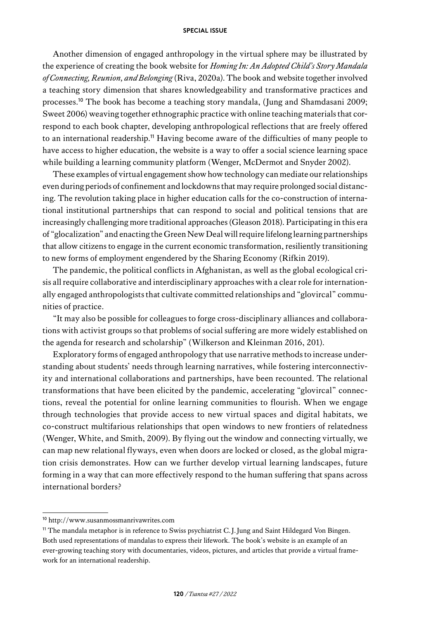Another dimension of engaged anthropology in the virtual sphere may be illustrated by the experience of creating the book website for *Homing In: An Adopted Child's Story Mandala of Connecting, Reunion, and Belonging* (Riva, 2020a). The book and website together involved a teaching story dimension that shares knowledgeability and transformative practices and processes.<sup>10</sup> The book has become a teaching story mandala, (Jung and Shamdasani 2009; Sweet 2006) weaving together ethnographic practice with online teaching materials that correspond to each book chapter, developing anthropological reflections that are freely offered to an international readership.<sup>11</sup> Having become aware of the difficulties of many people to have access to higher education, the website is a way to offer a social science learning space while building a learning community platform (Wenger, McDermot and Snyder 2002).

These examples of virtual engagement show how technology can mediate our relationships even during periods of confinement and lockdowns that may require prolonged social distancing. The revolution taking place in higher education calls for the co-construction of international institutional partnerships that can respond to social and political tensions that are increasingly challenging more traditional approaches (Gleason 2018). Participating in this era of "glocalization" and enacting the Green New Deal will require lifelong learning partnerships that allow citizens to engage in the current economic transformation, resiliently transitioning to new forms of employment engendered by the Sharing Economy (Rifkin 2019).

The pandemic, the political conflicts in Afghanistan, as well as the global ecological crisis all require collaborative and interdisciplinary approaches with a clear role for internationally engaged anthropologists that cultivate committed relationships and "glovircal" communities of practice.

"It may also be possible for colleagues to forge cross-disciplinary alliances and collaborations with activist groups so that problems of social suffering are more widely established on the agenda for research and scholarship" (Wilkerson and Kleinman 2016, 201).

Exploratory forms of engaged anthropology that use narrative methods to increase understanding about students' needs through learning narratives, while fostering interconnectivity and international collaborations and partnerships, have been recounted. The relational transformations that have been elicited by the pandemic, accelerating "glovircal" connections, reveal the potential for online learning communities to flourish. When we engage through technologies that provide access to new virtual spaces and digital habitats, we co-construct multifarious relationships that open windows to new frontiers of relatedness (Wenger, White, and Smith, 2009). By flying out the window and connecting virtually, we can map new relational flyways, even when doors are locked or closed, as the global migration crisis demonstrates. How can we further develop virtual learning landscapes, future forming in a way that can more effectively respond to the human suffering that spans across international borders?

<sup>10</sup> http://www.susanmossmanrivawrites.com

<sup>&</sup>lt;sup>11</sup> The mandala metaphor is in reference to Swiss psychiatrist C.J.Jung and Saint Hildegard Von Bingen. Both used representations of mandalas to express their lifework. The book's website is an example of an ever-growing teaching story with documentaries, videos, pictures, and articles that provide a virtual framework for an international readership.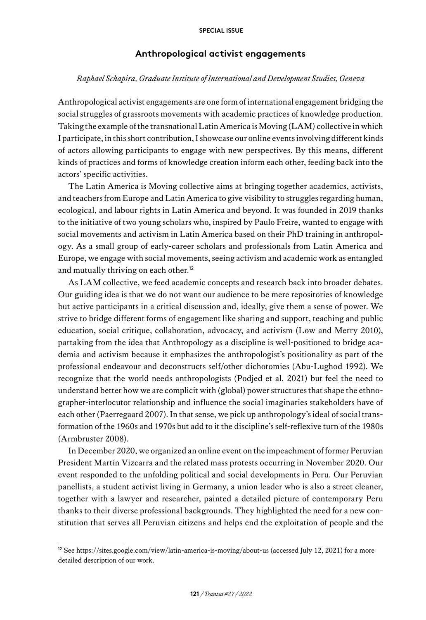## **Anthropological activist engagements**

## *Raphael Schapira, Graduate Institute of International and Development Studies, Geneva*

Anthropological activist engagements are one form of international engagement bridging the social struggles of grassroots movements with academic practices of knowledge production. Taking the example of the transnational Latin America is Moving (LAM) collective in which I participate, in this short contribution, I showcase our online events involving different kinds of actors allowing participants to engage with new perspectives. By this means, different kinds of practices and forms of knowledge creation inform each other, feeding back into the actors' specific activities.

The Latin America is Moving collective aims at bringing together academics, activists, and teachers from Europe and Latin America to give visibility to struggles regarding human, ecological, and labour rights in Latin America and beyond. It was founded in 2019 thanks to the initiative of two young scholars who, inspired by Paulo Freire, wanted to engage with social movements and activism in Latin America based on their PhD training in anthropology. As a small group of early-career scholars and professionals from Latin America and Europe, we engage with social movements, seeing activism and academic work as entangled and mutually thriving on each other.<sup>12</sup>

As LAM collective, we feed academic concepts and research back into broader debates. Our guiding idea is that we do not want our audience to be mere repositories of knowledge but active participants in a critical discussion and, ideally, give them a sense of power. We strive to bridge different forms of engagement like sharing and support, teaching and public education, social critique, collaboration, advocacy, and activism (Low and Merry 2010), partaking from the idea that Anthropology as a discipline is well-positioned to bridge academia and activism because it emphasizes the anthropologist's positionality as part of the professional endeavour and deconstructs self/other dichotomies (Abu-Lughod 1992). We recognize that the world needs anthropologists (Podjed et al. 2021) but feel the need to understand better how we are complicit with (global) power structures that shape the ethnographer-interlocutor relationship and influence the social imaginaries stakeholders have of each other (Paerregaard 2007). In that sense, we pick up anthropology's ideal of social transformation of the 1960s and 1970s but add to it the discipline's self-reflexive turn of the 1980s (Armbruster 2008).

In December 2020, we organized an online event on the impeachment of former Peruvian President Martín Vizcarra and the related mass protests occurring in November 2020. Our event responded to the unfolding political and social developments in Peru. Our Peruvian panellists, a student activist living in Germany, a union leader who is also a street cleaner, together with a lawyer and researcher, painted a detailed picture of contemporary Peru thanks to their diverse professional backgrounds. They highlighted the need for a new constitution that serves all Peruvian citizens and helps end the exploitation of people and the

<sup>&</sup>lt;sup>12</sup> See https://sites.google.com/view/latin-america-is-moving/about-us (accessed July 12, 2021) for a more detailed description of our work.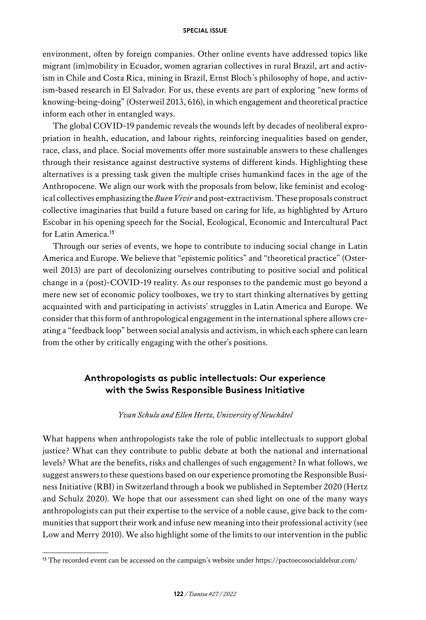environment, often by foreign companies. Other online events have addressed topics like migrant (im)mobility in Ecuador, women agrarian collectives in rural Brazil, art and activism in Chile and Costa Rica, mining in Brazil, Ernst Bloch's philosophy of hope, and activism-based research in El Salvador. For us, these events are part of exploring "new forms of knowing-being-doing" (Osterweil 2013, 616), in which engagement and theoretical practice inform each other in entangled ways.

The global COVID-19 pandemic reveals the wounds left by decades of neoliberal expropriation in health, education, and labour rights, reinforcing inequalities based on gender, race, class, and place. Social movements offer more sustainable answers to these challenges through their resistance against destructive systems of different kinds. Highlighting these alternatives is a pressing task given the multiple crises humankind faces in the age of the Anthropocene. We align our work with the proposals from below, like feminist and ecological collectives emphasizing the *Buen Vivir* and post-extractivism. These proposals construct collective imaginaries that build a future based on caring for life, as highlighted by Arturo Escobar in his opening speech for the Social, Ecological, Economic and Intercultural Pact for Latin America<sup>13</sup>

Through our series of events, we hope to contribute to inducing social change in Latin America and Europe. We believe that "epistemic politics" and "theoretical practice" (Osterweil 2013) are part of decolonizing ourselves contributing to positive social and political change in a (post)-COVID-19 reality. As our responses to the pandemic must go beyond a mere new set of economic policy toolboxes, we try to start thinking alternatives by getting acquainted with and participating in activists' struggles in Latin America and Europe. We consider that this form of anthropological engagement in the international sphere allows creating a "feedback loop" between social analysis and activism, in which each sphere can learn from the other by critically engaging with the other's positions.

# **Anthropologists as public intellectuals: Our experience with the Swiss Responsible Business Initiative**

## *Yvan Schulz and Ellen Hertz, University of Neuchâtel*

What happens when anthropologists take the role of public intellectuals to support global justice? What can they contribute to public debate at both the national and international levels? What are the benefits, risks and challenges of such engagement? In what follows, we suggest answers to these questions based on our experience promoting the Responsible Business Initiative (RBI) in Switzerland through a book we published in September 2020 (Hertz and Schulz 2020). We hope that our assessment can shed light on one of the many ways anthropologists can put their expertise to the service of a noble cause, give back to the communities that support their work and infuse new meaning into their professional activity (see Low and Merry 2010). We also highlight some of the limits to our intervention in the public

<sup>&</sup>lt;sup>13</sup> The recorded event can be accessed on the campaign's website under <https://pactoecosocialdelsur.com/>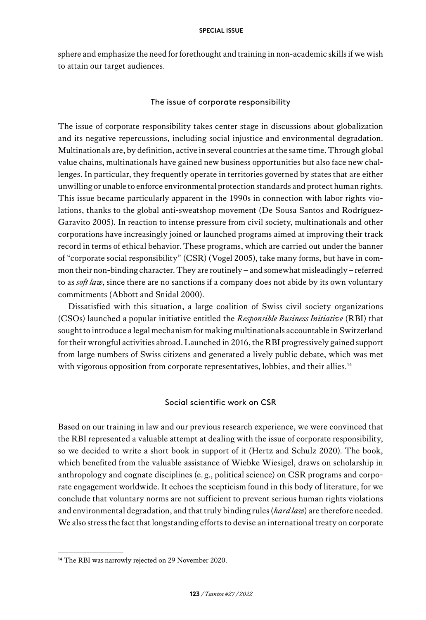sphere and emphasize the need for forethought and training in non-academic skills if we wish to attain our target audiences.

# The issue of corporate responsibility

The issue of corporate responsibility takes center stage in discussions about globalization and its negative repercussions, including social injustice and environmental degradation. Multinationals are, by definition, active in several countries at the same time. Through global value chains, multinationals have gained new business opportunities but also face new challenges. In particular, they frequently operate in territories governed by states that are either unwilling or unable to enforce environmental protection standards and protect human rights. This issue became particularly apparent in the 1990s in connection with labor rights violations, thanks to the global anti-sweatshop movement (De Sousa Santos and Rodríguez--Garavito 2005). In reaction to intense pressure from civil society, multinationals and other corporations have increasingly joined or launched programs aimed at improving their track record in terms of ethical behavior. These programs, which are carried out under the banner of "corporate social responsibility" (CSR) (Vogel 2005), take many forms, but have in common their non-binding character. They are routinely – and somewhat misleadingly – referred to as *soft law*, since there are no sanctions if a company does not abide by its own voluntary commitments (Abbott and Snidal 2000).

Dissatisfied with this situation, a large coalition of Swiss civil society organizations (CSOs) launched a popular initiative entitled the *Responsible Business Initiative* (RBI) that sought to introduce a legal mechanism for making multinationals accountable in Switzerland for their wrongful activities abroad. Launched in 2016, the RBI progressively gained support from large numbers of Swiss citizens and generated a lively public debate, which was met with vigorous opposition from corporate representatives, lobbies, and their allies.<sup>14</sup>

# Social scientific work on CSR

Based on our training in law and our previous research experience, we were convinced that the RBI represented a valuable attempt at dealing with the issue of corporate responsibility, so we decided to write a short book in support of it (Hertz and Schulz 2020). The book, which benefited from the valuable assistance of Wiebke Wiesigel, draws on scholarship in anthropology and cognate disciplines (e. g., political science) on CSR programs and corporate engagement worldwide. It echoes the scepticism found in this body of literature, for we conclude that voluntary norms are not sufficient to prevent serious human rights violations and environmental degradation, and that truly binding rules (*hard law*) are therefore needed. We also stress the fact that longstanding efforts to devise an international treaty on corporate

<sup>&</sup>lt;sup>14</sup> The RBI was narrowly rejected on 29 November 2020.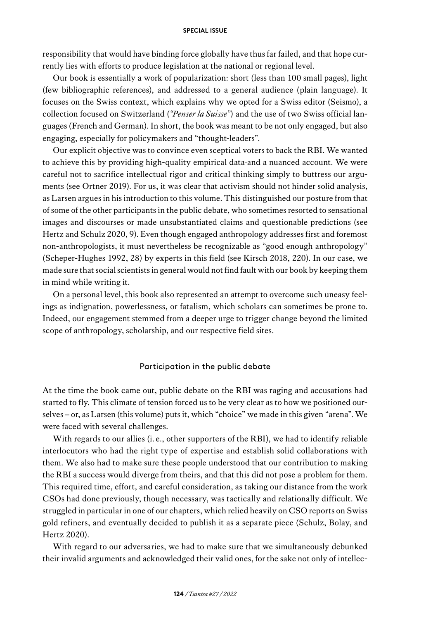responsibility that would have binding force globally have thus far failed, and that hope currently lies with efforts to produce legislation at the national or regional level.

Our book is essentially a work of popularization: short (less than 100 small pages), light (few bibliographic references), and addressed to a general audience (plain language). It focuses on the Swiss context, which explains why we opted for a Swiss editor (Seismo), a collection focused on Switzerland (*"Penser la Suisse"*) and the use of two Swiss official languages (French and German). In short, the book was meant to be not only engaged, but also engaging, especially for policymakers and "thought-leaders".

Our explicit objective was to convince even sceptical voters to back the RBI. We wanted to achieve this by providing high-quality empirical data and a nuanced account. We were careful not to sacrifice intellectual rigor and critical thinking simply to buttress our arguments (see Ortner 2019). For us, it was clear that activism should not hinder solid analysis, as Larsen argues in his introduction to this volume. This distinguished our posture from that of some of the other participants in the public debate, who sometimes resorted to sensational images and discourses or made unsubstantiated claims and questionable predictions (see Hertz and Schulz 2020, 9). Even though engaged anthropology addresses first and foremost non-anthropologists, it must nevertheless be recognizable as "good enough anthropology" (Scheper-Hughes 1992, 28) by experts in this field (see Kirsch 2018, 220). In our case, we made sure that social scientists in general would not find fault with our book by keeping them in mind while writing it.

On a personal level, this book also represented an attempt to overcome such uneasy feelings as indignation, powerlessness, or fatalism, which scholars can sometimes be prone to. Indeed, our engagement stemmed from a deeper urge to trigger change beyond the limited scope of anthropology, scholarship, and our respective field sites.

## Participation in the public debate

At the time the book came out, public debate on the RBI was raging and accusations had started to fly. This climate of tension forced us to be very clear as to how we positioned ourselves – or, as Larsen (this volume) puts it, which "choice" we made in this given "arena". We were faced with several challenges.

With regards to our allies (i. e., other supporters of the RBI), we had to identify reliable interlocutors who had the right type of expertise and establish solid collaborations with them. We also had to make sure these people understood that our contribution to making the RBI a success would diverge from theirs, and that this did not pose a problem for them. This required time, effort, and careful consideration, as taking our distance from the work CSOs had done previously, though necessary, was tactically and relationally difficult. We struggled in particular in one of our chapters, which relied heavily on CSO reports on Swiss gold refiners, and eventually decided to publish it as a separate piece (Schulz, Bolay, and Hertz 2020).

With regard to our adversaries, we had to make sure that we simultaneously debunked their invalid arguments and acknowledged their valid ones, for the sake not only of intellec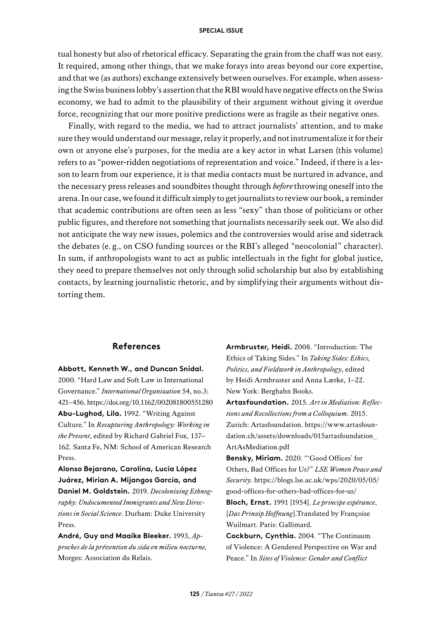tual honesty but also of rhetorical efficacy. Separating the grain from the chaff was not easy. It required, among other things, that we make forays into areas beyond our core expertise, and that we (as authors) exchange extensively between ourselves. For example, when assessing the Swiss business lobby's assertion that the RBI would have negative effects on the Swiss economy, we had to admit to the plausibility of their argument without giving it overdue force, recognizing that our more positive predictions were as fragile as their negative ones.

Finally, with regard to the media, we had to attract journalists' attention, and to make sure they would understand our message, relay it properly, and not instrumentalize it for their own or anyone else's purposes, for the media are a key actor in what Larsen (this volume) refers to as "power-ridden negotiations of representation and voice." Indeed, if there is a lesson to learn from our experience, it is that media contacts must be nurtured in advance, and the necessary press releases and soundbites thought through *before* throwing oneself into the arena. In our case, we found it difficult simply to get journalists to review our book, a reminder that academic contributions are often seen as less "sexy" than those of politicians or other public figures, and therefore not something that journalists necessarily seek out. We also did not anticipate the way new issues, polemics and the controversies would arise and sidetrack the debates (e. g., on CSO funding sources or the RBI's alleged "neocolonial" character). In sum, if anthropologists want to act as public intellectuals in the fight for global justice, they need to prepare themselves not only through solid scholarship but also by establishing contacts, by learning journalistic rhetoric, and by simplifying their arguments without distorting them.

# **References**

**Abbott, Kenneth W., and Duncan Snidal.** 2000. "Hard Law and Soft Law in International Governance." *International Organization* 54, no.3: 421–456. <https://doi.org/10.1162/002081800551280> **Abu-Lughod, Lila.** 1992. "Writing Against Culture." In *Recapturing Anthropology: Working in the Present*, edited by Richard Gabriel Fox, 137– 162. Santa Fe, NM: School of American Research Press.

**Alonso Bejarano, Carolina, Lucia López Juárez, Mirian A. Mijangos García, and Daniel M. Goldstein.** 2019. *Decolonizing Ethnography: Undocumented Immigrants and New Directions in Social Science*. Durham: Duke University Press.

**André, Guy and Maaike Bleeker.** 1993, *Approches de la prévention du sida en milieu nocturne,* Morges: Association du Relais.

**Armbruster, Heidi.** 2008. "Introduction: The Ethics of Taking Sides." In *Taking Sides: Ethics, Politics, and Fieldwork in Anthropology*, edited by Heidi Armbruster and Anna Lærke, 1–22. New York: Berghahn Books.

**Artasfoundation.** 2015. *Art in Mediation: Reflections and Recollections from a Colloquium*. 2015. Zurich: Artasfoundation. [https://www.artasfoun](https://www.artasfoundation.ch/assets/downloads/015artasfoundation_ArtAsMediation.pdf)[dation.ch/assets/downloads/015artasfoundation\\_](https://www.artasfoundation.ch/assets/downloads/015artasfoundation_ArtAsMediation.pdf) [ArtAsMediation.pdf](https://www.artasfoundation.ch/assets/downloads/015artasfoundation_ArtAsMediation.pdf)

**Bensky, Miriam.** 2020. "'Good Offices' for Others, Bad Offices for Us?" *LSE Women Peace and Security*. [https://blogs.lse.ac.uk/wps/2020/05/05/](https://blogs.lse.ac.uk/wps/2020/05/05/good-offices-for-others-bad-offices-for-us/) [good-offices-for-others-bad-offices-for-us/](https://blogs.lse.ac.uk/wps/2020/05/05/good-offices-for-others-bad-offices-for-us/)

**Bloch, Ernst.** 1991 [1954]. *Le principe espérance*, [*Das Prinzip Hoffnung*].Translated by Françoise Wuilmart. Paris: Gallimard.

**Cockburn, Cynthia.** 2004. "The Continuum of Violence: A Gendered Perspective on War and Peace." In *Sites of Violence: Gender and Conflict*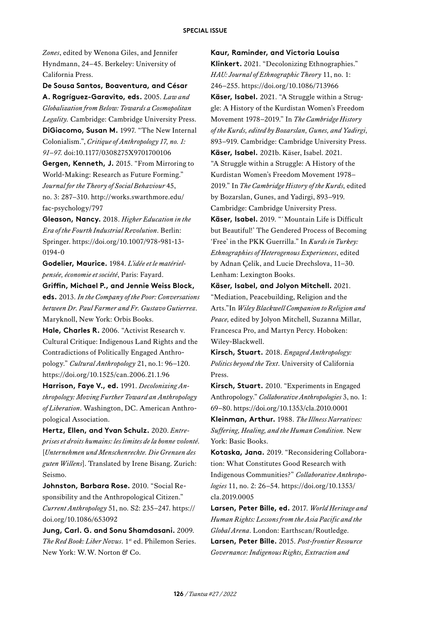*Zones*, edited by Wenona Giles, and Jennifer Hyndmann, 24–45. Berkeley: University of California Press.

#### **De Sousa Santos, Boaventura, and César**

**A. Rogríguez-Garavito, eds.** 2005. *Law and Globalization from Below: Towards a Cosmopolitan Legality.* Cambridge: Cambridge University Press. **DiGiacomo, Susan M.** 1997*.* "The New Internal Colonialism.", *Critique of Anthropology 17, no. 1: 91*–*97.* doi[:10.1177/0308275X9701700106](https://doi.org/10.1177/0308275X9701700106)

**Gergen, Kenneth, J.** 2015. "From Mirroring to World-Making: Research as Future Forming." *Journal for the Theory of Social Behaviour* 45, no. 3: 287–310. [http://works.swarthmore.edu/](http://works.swarthmore.edu/fac-psychology/797) [fac-psychology/797](http://works.swarthmore.edu/fac-psychology/797)

**Gleason, Nancy.** 2018. *Higher Education in the Era of the Fourth Industrial Revolution*. Berlin: Springer. https://doi.org/10.1007/978-981-13-0194-0

**Godelier, Maurice.** 1984. *L'idée et le matérielpensée, économie et société*, Paris: Fayard.

**Griffin, Michael P., and Jennie Weiss Block,** 

**eds.** 2013. *In the Company of the Poor: Conversations between Dr. Paul Farmer and Fr. Gustavo Gutierrez*. Maryknoll, New York: Orbis Books.

**Hale, Charles R.** 2006. "Activist Research v. Cultural Critique: Indigenous Land Rights and the Contradictions of Politically Engaged Anthropology." *Cultural Anthropology* 21, no.1: 96–120. <https://doi.org/10.1525/can.2006.21.1.96>

**Harrison, Faye V., ed.** 1991. *Decolonizing Anthropology: Moving Further Toward an Anthropology of Liberation*. Washington, DC. American Anthropological Association.

**Hertz, Ellen, and Yvan Schulz.** 2020. *Entreprises et droits humains: les limites de la bonne volonté*. [*Unternehmen und Menschenrechte. Die Grenzen des guten Willens*]. Translated by Irene Bisang. Zurich: Seismo.

**Johnston, Barbara Rose.** 2010. "Social Responsibility and the Anthropological Citizen."

*Current Anthropology* 51, no. S2: 235–247. [https://](https://doi.org/10.1086/653092) [doi.org/10.1086/653092](https://doi.org/10.1086/653092)

**Jung, Carl. G. and Sonu Shamdasani.** 2009. *The Red Book: Liber Novus*. 1st ed. Philemon Series. New York: W.W. Norton & Co.

**Kaur, Raminder, and Victoria Louisa Klinkert.** 2021. "Decolonizing Ethnographies."

*HAU: Journal of Ethnographic Theory* 11, no. 1: 246–255.<https://doi.org/10.1086/713966> **Käser, Isabel.** 2021. "A Struggle within a Struggle: A History of the Kurdistan Women's Freedom Movement 1978–2019." In *The Cambridge History* 

*of the Kurds, edited by Bozarslan, Gunes, and Yadirgi,*  893–919. Cambridge: Cambridge University Press. **Käser, Isabel.** 2021b. Käser, Isabel. 2021. "A Struggle within a Struggle: A History of the Kurdistan Women's Freedom Movement 1978– 2019." In *The Cambridge History of the Kurds,* edited by Bozarslan, Gunes, and Yadirgi, 893–919. Cambridge: Cambridge University Press.

Käser, Isabel. 2019. "'Mountain Life is Difficult but Beautiful!' The Gendered Process of Becoming 'Free' in the PKK Guerrilla." In *Kurds in Turkey: Ethnographies of Heterogenous Experiences*, edited by Adnan Çelik, and Lucie Drechslova, 11–30. Lenham: Lexington Books.

**Käser, Isabel, and Jolyon Mitchell.** 2021. "Mediation, Peacebuilding, Religion and the Arts."In *Wiley Blackwell Companion to Religion and Peace,* edited by Jolyon Mitchell, Suzanna Millar, Francesca Pro, and Martyn Percy. Hoboken: Wiley-Blackwell.

**Kirsch, Stuart.** 2018. *Engaged Anthropology: Politics beyond the Text*. University of California Press.

**Kirsch, Stuart.** 2010. "Experiments in Engaged Anthropology." *Collaborative Anthropologies* 3, no. 1: 69–80. <https://doi.org/10.1353/cla.2010.0001>

**Kleinman, Arthur.** 1988. *The Illness Narratives: Suffering, Healing, and the Human Condition.* New York: Basic Books.

**Kotaska, Jana.** 2019. "Reconsidering Collaboration: What Constitutes Good Research with Indigenous Communities?" *Collaborative Anthropologies* 11, no. 2: 26–54. [https://doi.org/10.1353/](https://doi.org/10.1353/cla.2019.0005) [cla.2019.0005](https://doi.org/10.1353/cla.2019.0005)

**Larsen, Peter Bille, ed.** 2017. *World Heritage and Human Rights: Lessons from the Asia Pacific and the Global Arena*. London: Earthscan/Routledge. **Larsen, Peter Bille.** 2015. *Post-frontier Resource Governance: Indigenous Rights, Extraction and*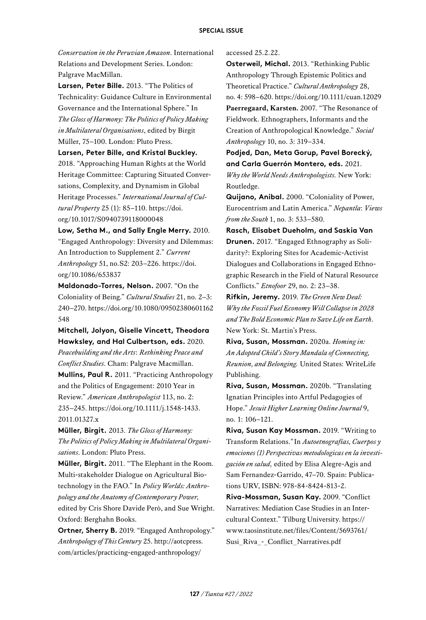*Conservation in the Peruvian Amazon*. International Relations and Development Series. London: Palgrave MacMillan.

**Larsen, Peter Bille.** 2013. "The Politics of Technicality: Guidance Culture in Environmental Governance and the International Sphere." In *The Gloss of Harmony: The Politics of Policy Making in Multilateral Organisations*, edited by Birgit Müller, 75–100. London: Pluto Press.

**Larsen, Peter Bille, and Kristal Buckley.**

2018. "Approaching Human Rights at the World Heritage Committee: Capturing Situated Conversations, Complexity, and Dynamism in Global Heritage Processes." *International Journal of Cultural Property* 25 (1): 85–110. [https://doi.](https://doi.org/10.1017/S0940739118000048) [org/10.1017/S0940739118000048](https://doi.org/10.1017/S0940739118000048)

**Low, Setha M., and Sally Engle Merry.** 2010. "Engaged Anthropology: Diversity and Dilemmas: An Introduction to Supplement 2." *Current Anthropology* 51, no.S2: 203–226. [https://doi.](https://doi.org/10.1086/653837) [org/10.1086/653837](https://doi.org/10.1086/653837)

**Maldonado-Torres, Nelson.** 2007. "On the Coloniality of Being." *Cultural Studies* 21, no. 2–3: [240–270. https://doi.org/10.1080/09502380601162](https://doi.org/10.1080/09502380601162548)  [548](https://doi.org/10.1080/09502380601162548)

**Mitchell, Jolyon, Giselle Vincett, Theodora Hawksley, and Hal Culbertson, eds.** 2020. *Peacebuilding and the Arts*: *Rethinking Peace and Conflict Studies*. Cham: Palgrave Macmillan. **Mullins, Paul R.** 2011. "Practicing Anthropology and the Politics of Engagement: 2010 Year in Review." *American Anthropologist* 113, no. 2: 235–245. [https://doi.org/10.1111/j.1548-1433.](https://doi.org/10.1111/j.1548-1433.2011.01327.x)  [2011.01327.x](https://doi.org/10.1111/j.1548-1433.2011.01327.x)

**Müller, Birgit.** 2013. *The Gloss of Harmony: The Politics of Policy Making in Multilateral Organisations*. London: Pluto Press.

**Müller, Birgit.** 2011. "The Elephant in the Room. Multi-stakeholder Dialogue on Agricultural Biotechnology in the FAO." In *Policy Worlds: Anthropology and the Anatomy of Contemporary Power,*  edited by Cris Shore Davide Però, and Sue Wright. Oxford: Berghahn Books.

**Ortner, Sherry B.** 2019. "Engaged Anthropology." *Anthropology of This Century* 25. [http://aotcpress.](http://aotcpress.com/articles/practicing-engaged-anthropology/) [com/articles/practicing-engaged-anthropology/](http://aotcpress.com/articles/practicing-engaged-anthropology/)

#### accessed 25.2.22.

**Osterweil, Michal.** 2013. "Rethinking Public Anthropology Through Epistemic Politics and Theoretical Practice." *Cultural Anthropology* 28, no. 4: 598–620.<https://doi.org/10.1111/cuan.12029> **Paerregaard, Karsten.** 2007. "The Resonance of Fieldwork. Ethnographers, Informants and the Creation of Anthropological Knowledge." *Social Anthropology* 10, no. 3: 319–334.

**Podjed, Dan, Meta Gorup, Pavel Borecký, and Carla Guerrón Montero, eds.** 2021. *Why the World Needs Anthropologists.* New York: Routledge.

**Quijano, Anibal.** 2000. "Coloniality of Power, Eurocentrism and Latin America." *Nepantla*: *Views from the South* 1, no. 3: 533–580.

**Rasch, Elisabet Dueholm, and Saskia Van Drunen.** 2017. "Engaged Ethnography as Solidarity?: Exploring Sites for Academic-Activist Dialogues and Collaborations in Engaged Ethnographic Research in the Field of Natural Resource Conflicts." *Etnofoor* 29, no. 2: 23–38.

**Rifkin, Jeremy.** 2019. *The Green New Deal: Why the Fossil Fuel Economy Will Collapse in 2028 and The Bold Economic Plan to Save Life on Earth*. New York: St. Martin's Press.

**Riva, Susan, Mossman.** 2020a. *Homing in: An Adopted Child's Story Mandala of Connecting, Reunion, and Belonging.* United States: WriteLife Publishing.

**Riva, Susan, Mossman.** 2020b. "Translating Ignatian Principles into Artful Pedagogies of Hope." *Jesuit Higher Learning Online Journal* 9, no. 1: 106–121.

**Riva, Susan Kay Mossman.** 2019. "Writing to Transform Relations.*"* In *Autoetnografías, Cuerpos y emociones (1) Perspectivas metodologicas en la investigación en salud,* edited by Elisa Alegre-Agis and Sam Fernandez-Garrido, 47–70. Spain: Publications URV, ISBN: 978-84-8424-813-2.

**Riva-Mossman, Susan Kay.** 2009. "Conflict Narratives: Mediation Case Studies in an Intercultural Context." Tilburg University. [https://](https://www.taosinstitute.net/files/Content/5693761/Susi_Riva_-_Conflict_Narratives.pdf) [www.taosinstitute.net/files/Content/5693761/](https://www.taosinstitute.net/files/Content/5693761/Susi_Riva_-_Conflict_Narratives.pdf) Susi\_Riva - Conflict\_Narratives.pdf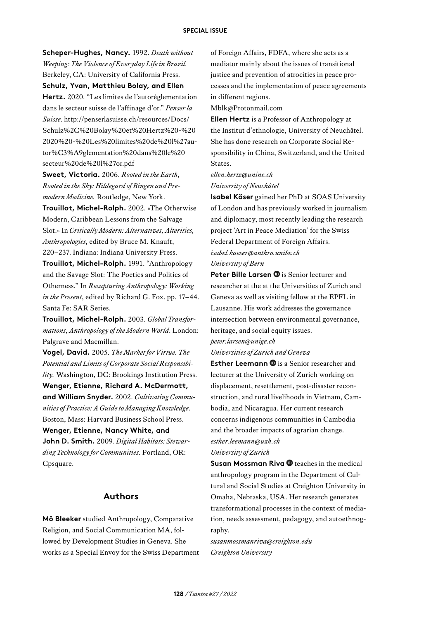**Scheper-Hughes, Nancy.** 1992. *Death without Weeping: The Violence of Everyday Life in Brazil.* Berkeley, CA: University of California Press. **Schulz, Yvan, Matthieu Bolay, and Ellen** 

**Hertz.** 2020. "Les limites de l'autoréglementation dans le secteur suisse de l'affinage d'or." *Penser la Suisse*. [http://penserlasuisse.ch/resources/Docs/](http://penserlasuisse.ch/resources/Docs/Schulz%2C%20Bolay%20et%20Hertz%20-%202020%20-%20Les%20limites%20de%20l%27autoréglementation%20dans%20le%20secteur%20de%20l%27or.pdf) [Schulz%2C%20Bolay%20et%20Hertz%20-%20](http://penserlasuisse.ch/resources/Docs/Schulz%2C%20Bolay%20et%20Hertz%20-%202020%20-%20Les%20limites%20de%20l%27autoréglementation%20dans%20le%20secteur%20de%20l%27or.pdf) [2020%20-%20Les%20limites%20de%20l%27au](http://penserlasuisse.ch/resources/Docs/Schulz%2C%20Bolay%20et%20Hertz%20-%202020%20-%20Les%20limites%20de%20l%27autoréglementation%20dans%20le%20secteur%20de%20l%27or.pdf)[tor%C3%A9glementation%20dans%20le%20](http://penserlasuisse.ch/resources/Docs/Schulz%2C%20Bolay%20et%20Hertz%20-%202020%20-%20Les%20limites%20de%20l%27autoréglementation%20dans%20le%20secteur%20de%20l%27or.pdf) [secteur%20de%20l%27or.pdf](http://penserlasuisse.ch/resources/Docs/Schulz%2C%20Bolay%20et%20Hertz%20-%202020%20-%20Les%20limites%20de%20l%27autoréglementation%20dans%20le%20secteur%20de%20l%27or.pdf)

**Sweet, Victoria.** 2006. *Rooted in the Earth, Rooted in the Sky: Hildegard of Bingen and Premodern Medicine.* Routledge, New York.

**Trouillot, Michel-Rolph.** 2002. «The Otherwise Modern, Caribbean Lessons from the Salvage Slot.» In *Critically Modern: Alternatives, Alterities, Anthropologies,* edited by Bruce M. Knauft, 220–237. Indiana: Indiana University Press.

**Trouillot, Michel-Rolph.** 1991. "Anthropology and the Savage Slot: The Poetics and Politics of Otherness." In *Recapturing Anthropology: Working in the Present*, edited by Richard G. Fox. pp. 17–44. Santa Fe: SAR Series.

**Trouillot, Michel-Rolph.** 2003. *Global Transformations, Anthropology of the Modern World*. London: Palgrave and Macmillan.

**Vogel, David.** 2005. *The Market for Virtue. The Potential and Limits of Corporate Social Responsibility.* Washington, DC: Brookings Institution Press. **Wenger, Etienne, Richard A. McDermott, and William Snyder.** 2002. *Cultivating Communities of Practice: A Guide to Managing Knowledge*. Boston, Mass: Harvard Business School Press. **Wenger, Etienne, Nancy White, and John D. Smith.** 2009. *Digital Habitats: Stewarding Technology for Communities*. Portland, OR: Cpsquare.

## **Authors**

**Mô Bleeker** studied Anthropology, Comparative Religion, and Social Communication MA, followed by Development Studies in Geneva. She works as a Special Envoy for the Swiss Department of Foreign Affairs, FDFA, where she acts as a mediator mainly about the issues of transitional justice and prevention of atrocities in peace processes and the implementation of peace agreements in different regions.

[Mblk@Protonmail.com](mailto:Mblk@Protonmail.com)

**Ellen Hertz** is a Professor of Anthropology at the Institut d'ethnologie, University of Neuchâtel. She has done research on Corporate Social Responsibility in China, Switzerland, and the United States.

*[ellen.hertz@unine.ch](mailto:ellen.hertz@unine.ch) University of Neuchâtel*

**Isabel Käser** gained her PhD at SOAS University of London and has previously worked in journalism and diplomacy, most recently leading the research project 'Art in Peace Mediation' for the Swiss Federal Department of Foreign Affairs. *[isabel.kaeser@anthro.unibe.ch](mailto:isabel.kaeser@anthro.unibe.ch) University of Bern*

**Peter Bille Larsen D** is Senior lecturer and researcher at the at the Universities of Zurich and Geneva as well as visiting fellow at the EPFL in Lausanne. His work addresses the governance intersection between environmental governance, heritage, and social equity issues.

*[peter.larsen@unige.ch](mailto:peter.larsen@unige.ch) Universities of Zurich and Geneva*

**Esther Leemann**  $\bullet$  is a Senior researcher and lecturer at the University of Zurich working on displacement, resettlement, post-disaster reconstruction, and rural livelihoods in Vietnam, Cambodia, and Nicaragua. Her current research concerns indigenous communities in Cambodia and the broader impacts of agrarian change. *[esther.leemann@uzh.ch](mailto:esther.leemann@uzh.ch) University of Zurich*

**Susan Mossman Riva <sup>®</sup>** teaches in the medical anthropology program in the Department of Cultural and Social Studies at Creighton University in Omaha, Nebraska, USA. Her research generates transformational processes in the context of mediation, needs assessment, pedagogy, and autoethnography.

*[susanmossmanriva@creighton.edu](mailto:susanmossmanriva@creighton.edu) Creighton University*